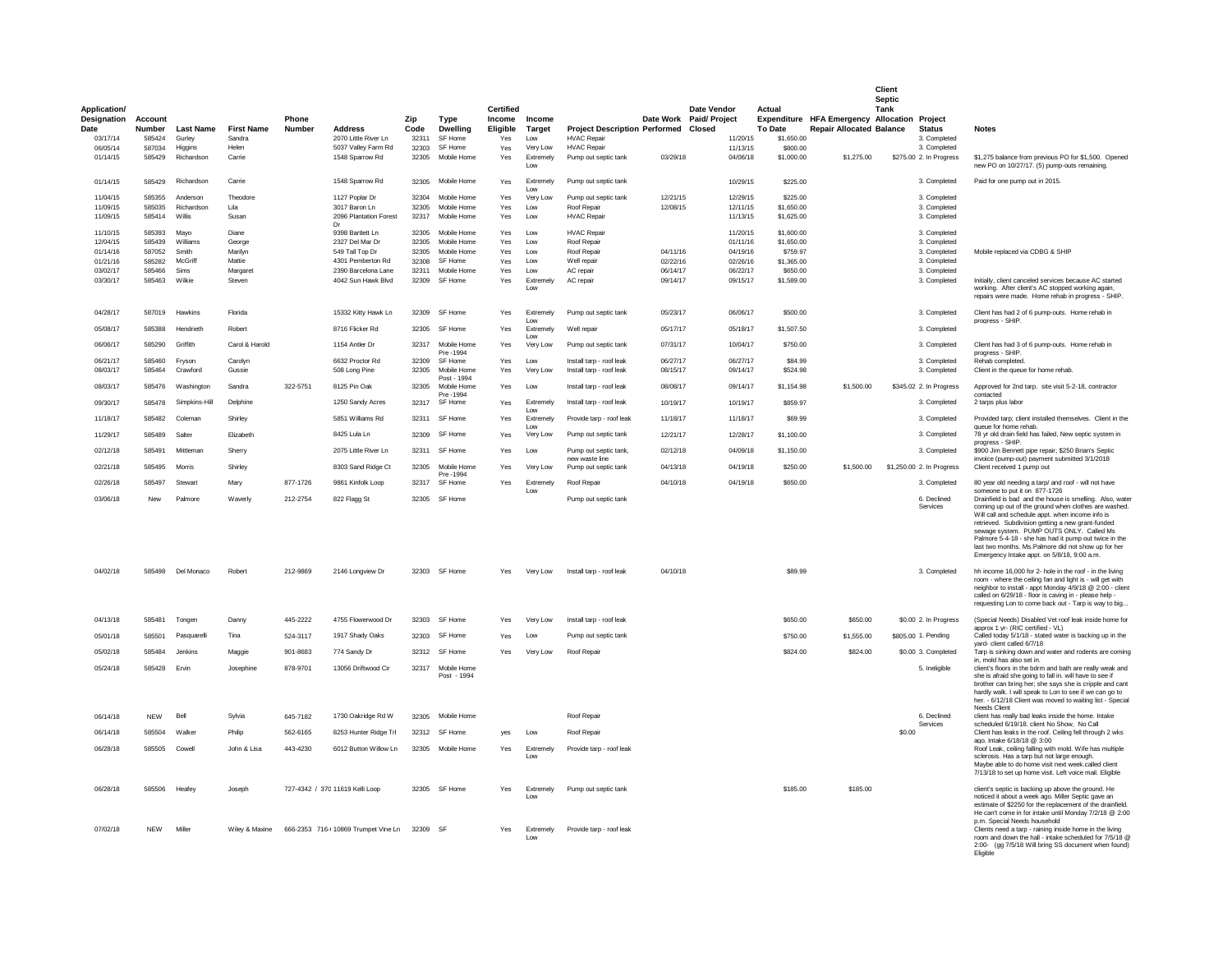|                      |                          |                      |                   |                        |                                         |                |                                  |                    |                         |                                                      |                      |                                   |                          |                                                                                 | Client<br>Septic |                                         |                                                                                                                                                                                                                                                                                                                                                                                                                                      |
|----------------------|--------------------------|----------------------|-------------------|------------------------|-----------------------------------------|----------------|----------------------------------|--------------------|-------------------------|------------------------------------------------------|----------------------|-----------------------------------|--------------------------|---------------------------------------------------------------------------------|------------------|-----------------------------------------|--------------------------------------------------------------------------------------------------------------------------------------------------------------------------------------------------------------------------------------------------------------------------------------------------------------------------------------------------------------------------------------------------------------------------------------|
| <b>Application/</b>  |                          |                      |                   |                        |                                         |                |                                  | <b>Certified</b>   |                         |                                                      |                      | <b>Date Vendor</b>                | Actual                   |                                                                                 | Tank             |                                         |                                                                                                                                                                                                                                                                                                                                                                                                                                      |
| Designation<br>Date  | Account<br><b>Number</b> | <b>Last Name</b>     | <b>First Name</b> | Phone<br><b>Number</b> | <b>Address</b>                          | Zip<br>Code    | Type<br><b>Dwelling</b>          | Income<br>Eligible | Income<br>Target        | <b>Project Description Performed</b>                 |                      | Date Work Paid/ Project<br>Closed | <b>To Date</b>           | Expenditure HFA Emergency Allocation Project<br><b>Repair Allocated Balance</b> |                  | Status                                  | <b>Notes</b>                                                                                                                                                                                                                                                                                                                                                                                                                         |
| 03/17/14             | 585424                   | Gurley               | Sandra            |                        | 2070 Little River Ln                    | 32311          | SF Home                          | Yes                | Low                     | <b>HVAC Repair</b>                                   |                      | 11/20/15                          | \$1,650.00               |                                                                                 |                  | 3. Completed                            |                                                                                                                                                                                                                                                                                                                                                                                                                                      |
| 06/05/14             | 587034                   | Higgins              | Helen             |                        | 5037 Valley Farm Rd                     | 32303          | SF Home                          | Yes                | Very Low                | <b>HVAC Repair</b>                                   |                      | 11/13/15                          | \$800.00                 |                                                                                 |                  | 3. Completed                            |                                                                                                                                                                                                                                                                                                                                                                                                                                      |
| 01/14/15             | 585429                   | Richardson           | Carrie            |                        | 1548 Sparrow Rd                         | 32305          | Mobile Home                      | Yes                | Extremely<br>Low        | Pump out septic tank                                 | 03/29/18             | 04/06/18                          | \$1,000.00               | \$1,275.00                                                                      |                  | \$275.00 2. In Progress                 | \$1,275 balance from previous PO for \$1,500. Opened<br>new PO on 10/27/17. (5) pump-outs remaining.                                                                                                                                                                                                                                                                                                                                 |
| 01/14/15             | 585429                   | Richardson           | Carrie            |                        | 1548 Sparrow Rd                         | 32305          | Mobile Home                      | Yes                | Extremely<br>Low        | Pump out septic tank                                 |                      | 10/29/15                          | \$225.00                 |                                                                                 |                  | 3. Completed                            | Paid for one pump out in 2015.                                                                                                                                                                                                                                                                                                                                                                                                       |
| 11/04/15             | 585355                   | Anderson             | Theodore          |                        | 1127 Poplar Dr                          | 32304          | Mobile Home                      | Yes                | Very Low                | Pump out septic tank                                 | 12/21/15             | 12/29/15                          | \$225.00                 |                                                                                 |                  | 3. Completed                            |                                                                                                                                                                                                                                                                                                                                                                                                                                      |
| 11/09/15<br>11/09/15 | 585035<br>585414         | Richardson<br>Willis | Lila<br>Susan     |                        | 3017 Baron Ln<br>2096 Plantation Forest | 32305<br>32317 | Mobile Home<br>Mobile Home       | Yes<br>Yes         | Low<br>1 <sub>ow</sub>  | Roof Repair<br><b>HVAC Repair</b>                    | 12/08/15             | 12/11/15<br>11/13/15              | \$1,650.00<br>\$1,625.00 |                                                                                 |                  | 3. Completed<br>3. Completed            |                                                                                                                                                                                                                                                                                                                                                                                                                                      |
| 11/10/15             | 585393                   | Mayo                 | Diane             |                        | Dr<br>9398 Bartlett Ln                  | 32305          | Mobile Home                      | Yes                | Low                     | <b>HVAC Repair</b>                                   |                      | 11/20/15                          | \$1,600.00               |                                                                                 |                  | 3. Completed                            |                                                                                                                                                                                                                                                                                                                                                                                                                                      |
| 12/04/15             | 585439                   | Williams             | George            |                        | 2327 Del Mar Dr                         | 32305          | Mobile Home                      | Yes                | Low                     | Roof Repair                                          |                      | 01/11/16                          | \$1,650.00               |                                                                                 |                  | 3. Completed                            |                                                                                                                                                                                                                                                                                                                                                                                                                                      |
| 01/14/16             | 587052                   | Smith                | Marilyn           |                        | 549 Tall Top Dr                         | 32305          | Mobile Home                      | Yes                | Low                     | Roof Repair                                          | 04/11/16             | 04/19/16                          | \$759.97                 |                                                                                 |                  | 3. Completed                            | Mobile replaced via CDBG & SHIP                                                                                                                                                                                                                                                                                                                                                                                                      |
| 01/21/16             | 585282                   | McGriff              | Mattie            |                        | 4301 Pemberton Rd                       | 32308          | SF Home                          | Yes                | Low                     | Well repair                                          | 02/22/16             | 02/26/16                          | \$1,365.00               |                                                                                 |                  | 3. Completed                            |                                                                                                                                                                                                                                                                                                                                                                                                                                      |
| 03/02/17             | 585466                   | Sims                 | Margaret          |                        | 2390 Barcelona Lane                     | 32311          | Mobile Home                      | Yes                | I ow                    | AC repair                                            | 06/14/17             | 06/22/17                          | \$650.00                 |                                                                                 |                  | 3. Completed                            |                                                                                                                                                                                                                                                                                                                                                                                                                                      |
| 03/30/17             | 585463                   | Wilkie               | Steven            |                        | 4042 Sun Hawk Blvd                      | 32309          | SF Home                          | Yes                | Extremely<br>Low        | AC repair                                            | 09/14/17             | 09/15/17                          | \$1,589.00               |                                                                                 |                  | 3. Completed                            | Initially, client canceled services because AC started<br>working. After client's AC stopped working again.<br>repairs were made. Home rehab in progress - SHIP.                                                                                                                                                                                                                                                                     |
| 04/28/17             | 587019                   | Hawkins              | Florida           |                        | 15332 Kitty Hawk Ln                     | 32309          | SF Home                          | Yes                | Extremelv               | Pump out septic tank                                 | 05/23/17             | 06/06/17                          | \$500.00                 |                                                                                 |                  | 3. Completed                            | Client has had 2 of 6 pump-outs. Home rehab in<br>progress - SHIP.                                                                                                                                                                                                                                                                                                                                                                   |
| 05/08/17             | 585388                   | Hendrieth            | Robert            |                        | 8716 Flicker Rd                         |                | 32305 SF Home                    | Yes                | <b>Extremely</b><br>Low | Well repair                                          | 05/17/17             | 05/18/17                          | \$1,507.50               |                                                                                 |                  | 3. Completed                            |                                                                                                                                                                                                                                                                                                                                                                                                                                      |
| 06/06/17             | 585290                   | Griffith             | Carol & Harold    |                        | 1154 Antler Dr                          | 32317          | Mobile Home<br>Pre -1994         | Yes                | Very Low                | Pump out septic tank                                 | 07/31/17             | 10/04/17                          | \$750.00                 |                                                                                 |                  | 3. Completed                            | Client has had 3 of 6 pump-outs. Home rehab in<br>progress - SHIP                                                                                                                                                                                                                                                                                                                                                                    |
| 06/21/17             | 585460<br>585464         | Fryson<br>Crawford   | Carolyn           |                        | 6632 Proctor Rd                         | 32309<br>32305 | SF Home<br>Mobile Home           | <b>Yes</b>         | 1 <sub>ow</sub>         | Install tarp - roof leak                             | 06/27/17<br>08/15/17 | 06/27/17<br>09/14/17              | \$84.99                  |                                                                                 |                  | 3. Completed                            | Rehab completed                                                                                                                                                                                                                                                                                                                                                                                                                      |
| 08/03/17<br>08/03/17 | 585476                   | Washington           | Gussie<br>Sandra  | 322-5751               | 508 Long Pine<br>8125 Pin Oak           | 32305          | Post - 1994<br>Mobile Home       | Yes<br>Yes         | Very Low<br>Low         | Install tarp - roof leak<br>Install tarp - roof leak | 08/08/17             | 09/14/17                          | \$524.98<br>\$1,154.98   | \$1,500.00                                                                      |                  | 3. Completed<br>\$345.02 2. In Progress | Client in the queue for home rehab.<br>Approved for 2nd tarp. site visit 5-2-18, contractor                                                                                                                                                                                                                                                                                                                                          |
| 09/30/17             | 585478                   | Simpkins-Hill        | Delphine          |                        | 1250 Sandy Acres                        | 32317          | Pre -1994<br>SF Home             | Yes                | Extremely               | Install tarp - roof leak                             | 10/19/17             | 10/19/17                          | \$859.97                 |                                                                                 |                  | 3. Completed                            | contacted<br>2 tarps plus labor                                                                                                                                                                                                                                                                                                                                                                                                      |
| 11/18/17             | 585482                   | Coleman              | Shirley           |                        | 5851 Williams Rd                        | 32311          | SF Home                          | Yes                | I OW<br>Extremely       | Provide tarp - roof leak                             | 11/18/17             | 11/18/17                          | \$69.99                  |                                                                                 |                  | 3. Completed                            | Provided tarp; client installed themselves. Client in the                                                                                                                                                                                                                                                                                                                                                                            |
| 11/29/17             | 585489                   | Salter               | Elizabeth         |                        | 8425 Lula Ln                            | 32309          | SF Home                          | Yes                | I ow<br>Very Low        | Pump out septic tank                                 | 12/21/17             | 12/28/17                          | \$1,100.00               |                                                                                 |                  | 3. Completed                            | queue for home rehab.<br>78 yr old drain field has failed, New septic system in                                                                                                                                                                                                                                                                                                                                                      |
| 02/12/18             | 585491                   | Mittleman            | Sherry            |                        | 2075 Little River Ln                    | 32311          | SF Home                          | Yes                | Low                     | Pump out septic tank,<br>new waste line              | 02/12/18             | 04/09/18                          | \$1,150.00               |                                                                                 |                  | 3. Completed                            | progress - SHIP.<br>\$900 Jim Bennett pipe repair; \$250 Brian's Septic<br>invoice (pump-out) payment submitted 3/1/2018                                                                                                                                                                                                                                                                                                             |
| 02/21/18             | 585495                   | Morris               | Shirley           |                        | 8303 Sand Ridge Ct                      | 32305          | Mobile Home<br>Pre -1994         | Yes                | Very Low                | Pump out septic tank                                 | 04/13/18             | 04/19/18                          | \$250.00                 | \$1,500.00                                                                      |                  | \$1,250.00 2. In Progress               | Client received 1 pump out                                                                                                                                                                                                                                                                                                                                                                                                           |
| 02/26/18             | 585497                   | Stewart              | Marv              | 877-1726               | 9861 Kinfolk Loop                       | 32317          | SF Home                          | Yes                | Extremely<br>Low        | Roof Renair                                          | 04/10/18             | 04/19/18                          | \$650.00                 |                                                                                 |                  | 3. Completed                            | 80 year old needing a tarp/ and roof - will not have<br>someone to put it on 877-1726                                                                                                                                                                                                                                                                                                                                                |
| 03/06/18             | New                      | Palmore              | Waverly           | 212-2754               | 822 Flagg St                            |                | 32305 SF Home                    |                    |                         | Pump out septic tank                                 |                      |                                   |                          |                                                                                 |                  | 6. Declined<br>Services                 | Drainfield is bad and the house is smelling. Also, water<br>coming up out of the ground when clothes are washed.<br>Will call and schedule appt. when income info is<br>retrieved. Subdivision getting a new grant-funded<br>sewage system. PUMP OUTS ONLY. Called Ms<br>Palmore 5-4-18 - she has had it pump out twice in the<br>last two months. Ms.Palmore did not show up for her<br>Emergency Intake appt. on 5/8/18, 9:00 a.m. |
| 04/02/18             | 585498                   | Del Monaco           | Robert            | 212-9869               | 2146 Longview Dr                        | 32303          | SF Home                          | Yes                | Verv Low                | Install tarp - roof leak                             | 04/10/18             |                                   | \$89.99                  |                                                                                 |                  | 3. Completed                            | hh income 16,000 for 2- hole in the roof - in the living<br>room - where the ceiling fan and light is - will get with<br>neighbor to install - appt Monday 4/9/18 @ 2:00 - client<br>called on 6/29/18 - floor is caving in - please help -<br>requesting Lon to come back out - Tarp is way to big                                                                                                                                  |
| 04/13/18             | 585481                   | Tongen               | Danny             | 445-2222               | 4755 Flowerwood Dr                      |                | 32303 SF Home                    | Yes                | Very Low                | Install tarp - roof leak                             |                      |                                   | \$650.00                 | \$650.00                                                                        |                  | \$0.00 2. In Progress                   | (Special Needs) Disabled Vet roof leak inside home for<br>approx 1 yr- (RIC certified - VL)                                                                                                                                                                                                                                                                                                                                          |
| 05/01/18             | 585501                   | Pasquarell           | Tina              | 524-3117               | 1917 Shady Oaks                         |                | 32303 SF Home                    | Yes                | Low                     | Pump out septic tank                                 |                      |                                   | \$750.00                 | \$1,555.00                                                                      |                  | \$805.00 1. Pending                     | Called today 5/1/18 - stated water is backing up in the<br>vard- client called 6/7/18                                                                                                                                                                                                                                                                                                                                                |
| 05/02/18             | 585484                   | Jenkins              | Maggie            | 901-8683               | 774 Sandy Dr                            |                | 32312 SF Home                    | Yes                | Very Low                | Roof Repair                                          |                      |                                   | \$824.00                 | \$824.00                                                                        |                  | \$0.00 3. Completed                     | Tarp is sinking down and water and rodents are coming<br>in, mold has also set in.                                                                                                                                                                                                                                                                                                                                                   |
| 05/24/18             | 585428                   | Ervin                | Josephine         | 878-9701               | 13056 Driftwood Cir                     |                | 32317 Mobile Home<br>Post - 1994 |                    |                         |                                                      |                      |                                   |                          |                                                                                 |                  | 5. Ineligible                           | client's floors in the bdrm and bath are really weak and<br>she is afraid she going to fall in, will have to see if<br>brother can bring her; she says she is cripple and cant<br>hardly walk. I will speak to Lon to see if we can go to<br>her. - 6/12/18 Client was moved to waiting list - Special                                                                                                                               |
| 06/14/18             | <b>NEW</b>               | Bell                 | Svivia            | 645-7182               | 1730 Oakridge Rd W                      | 32305          | Mobile Home                      |                    |                         | Roof Repair                                          |                      |                                   |                          |                                                                                 |                  | 6. Declined                             | <b>Needs Client</b><br>client has really bad leaks inside the home. Intake                                                                                                                                                                                                                                                                                                                                                           |
| 06/14/18             | 585504                   | Walker               | Philip            | 562-6165               | 8253 Hunter Ridge Trl                   |                | 32312 SF Home                    | yes                | Low                     | Roof Repair                                          |                      |                                   |                          |                                                                                 | \$0.00           | Services                                | scheduled 6/19/18. client No Show, No Call<br>Client has leaks in the roof. Ceiling fell through 2 wks                                                                                                                                                                                                                                                                                                                               |
|                      |                          |                      |                   |                        |                                         |                |                                  |                    |                         |                                                      |                      |                                   |                          |                                                                                 |                  |                                         | ago, Intake 6/18/18 @ 3:00                                                                                                                                                                                                                                                                                                                                                                                                           |
| 06/28/18             | 585505                   | Cowell               | John & Lisa       | 443-4230               | 6012 Button Willow I n                  | 32305          | Mobile Home                      | <b>Yes</b>         | Extremely<br>I OW       | Provide tarp - roof leak                             |                      |                                   |                          |                                                                                 |                  |                                         | Roof Leak, ceiling falling with mold. Wife has multiple<br>sclerosis. Has a tarp but not large enough.<br>Maybe able to do home visit next week.called client<br>7/13/18 to set up home visit. Left voice mail. Eligible                                                                                                                                                                                                             |
| 06/28/18             | 585506                   | Heafey               | Joseph            |                        | 727-4342 / 370 11619 Kelli Loop         |                | 32305 SF Home                    | Yes                | Extremelv<br>I OW       | Pump out septic tank                                 |                      |                                   | \$185.00                 | \$185.00                                                                        |                  |                                         | client's septic is backing up above the ground. He<br>noticed it about a week ago. Miller Septic gave an<br>estimate of \$2250 for the replacement of the drainfield<br>He can't come in for intake until Monday 7/2/18 @ 2:00<br>p.m. Special Needs household                                                                                                                                                                       |
| 07/02/18             | <b>NEW</b>               | Miller               | Wiley & Maxine    |                        | 666-2353 716-(10869 Trumpet Vine Ln     | 32309          | <b>SF</b>                        | Yes                | Extremely               | Provide tarp - roof leak                             |                      |                                   |                          |                                                                                 |                  |                                         | Clients need a tarp - raining inside home in the living<br>room and down the hall - intake scheduled for 7/5/18 @<br>2:00- (gg 7/5/18 Will bring SS document when found)<br>Eligible                                                                                                                                                                                                                                                 |